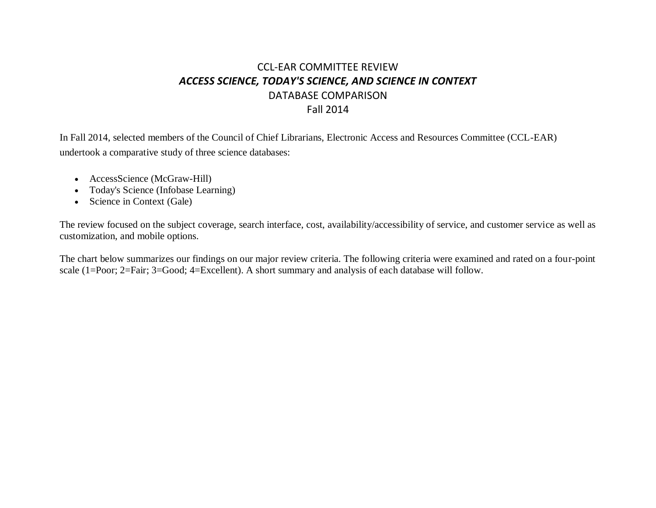# CCL-EAR COMMITTEE REVIEW *ACCESS SCIENCE, TODAY'S SCIENCE, AND SCIENCE IN CONTEXT* DATABASE COMPARISON Fall 2014

In Fall 2014, selected members of the Council of Chief Librarians, Electronic Access and Resources Committee (CCL-EAR) undertook a comparative study of three science databases:

- AccessScience (McGraw-Hill)
- Today's Science (Infobase Learning)
- Science in Context (Gale)

The review focused on the subject coverage, search interface, cost, availability/accessibility of service, and customer service as well as customization, and mobile options.

The chart below summarizes our findings on our major review criteria. The following criteria were examined and rated on a four-point scale (1=Poor; 2=Fair; 3=Good; 4=Excellent). A short summary and analysis of each database will follow.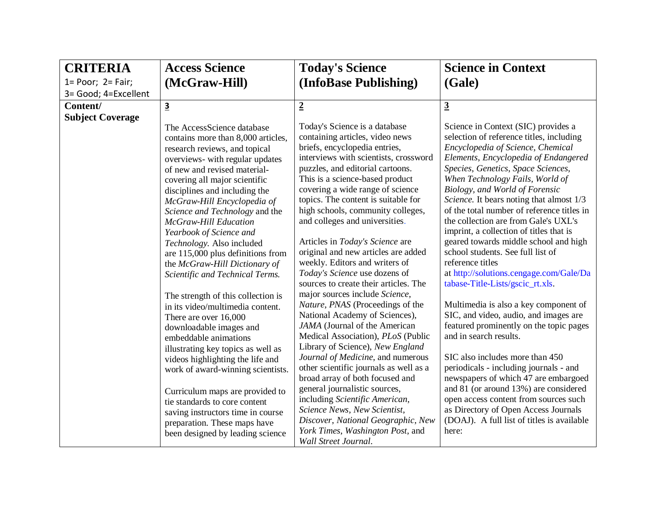| <b>CRITERIA</b>           | <b>Access Science</b>                                                                                                                                                                                                                                                                                                                                                                                                                                                 | <b>Today's Science</b>                                                                                                                                                                                                                                                                                                                                                                                                                                                          | <b>Science in Context</b>                                                                                                                                                                                                                                                                                                                                                                                                                                                                                                                              |
|---------------------------|-----------------------------------------------------------------------------------------------------------------------------------------------------------------------------------------------------------------------------------------------------------------------------------------------------------------------------------------------------------------------------------------------------------------------------------------------------------------------|---------------------------------------------------------------------------------------------------------------------------------------------------------------------------------------------------------------------------------------------------------------------------------------------------------------------------------------------------------------------------------------------------------------------------------------------------------------------------------|--------------------------------------------------------------------------------------------------------------------------------------------------------------------------------------------------------------------------------------------------------------------------------------------------------------------------------------------------------------------------------------------------------------------------------------------------------------------------------------------------------------------------------------------------------|
| $1 = Poor$ ; $2 = Fair$ ; | (McGraw-Hill)                                                                                                                                                                                                                                                                                                                                                                                                                                                         | (InfoBase Publishing)                                                                                                                                                                                                                                                                                                                                                                                                                                                           | (Gale)                                                                                                                                                                                                                                                                                                                                                                                                                                                                                                                                                 |
| 3= Good; 4=Excellent      |                                                                                                                                                                                                                                                                                                                                                                                                                                                                       |                                                                                                                                                                                                                                                                                                                                                                                                                                                                                 |                                                                                                                                                                                                                                                                                                                                                                                                                                                                                                                                                        |
| Content/                  | $\overline{\mathbf{3}}$                                                                                                                                                                                                                                                                                                                                                                                                                                               | $\overline{2}$                                                                                                                                                                                                                                                                                                                                                                                                                                                                  | $\overline{3}$                                                                                                                                                                                                                                                                                                                                                                                                                                                                                                                                         |
| <b>Subject Coverage</b>   |                                                                                                                                                                                                                                                                                                                                                                                                                                                                       |                                                                                                                                                                                                                                                                                                                                                                                                                                                                                 |                                                                                                                                                                                                                                                                                                                                                                                                                                                                                                                                                        |
|                           | The AccessScience database<br>contains more than 8,000 articles,<br>research reviews, and topical<br>overviews- with regular updates<br>of new and revised material-<br>covering all major scientific<br>disciplines and including the<br>McGraw-Hill Encyclopedia of<br>Science and Technology and the<br><b>McGraw-Hill Education</b><br>Yearbook of Science and<br>Technology. Also included<br>are 115,000 plus definitions from<br>the McGraw-Hill Dictionary of | Today's Science is a database<br>containing articles, video news<br>briefs, encyclopedia entries,<br>interviews with scientists, crossword<br>puzzles, and editorial cartoons.<br>This is a science-based product<br>covering a wide range of science<br>topics. The content is suitable for<br>high schools, community colleges,<br>and colleges and universities.<br>Articles in Today's Science are<br>original and new articles are added<br>weekly. Editors and writers of | Science in Context (SIC) provides a<br>selection of reference titles, including<br>Encyclopedia of Science, Chemical<br>Elements, Encyclopedia of Endangered<br>Species, Genetics, Space Sciences,<br>When Technology Fails, World of<br>Biology, and World of Forensic<br>Science. It bears noting that almost 1/3<br>of the total number of reference titles in<br>the collection are from Gale's UXL's<br>imprint, a collection of titles that is<br>geared towards middle school and high<br>school students. See full list of<br>reference titles |
|                           | Scientific and Technical Terms.                                                                                                                                                                                                                                                                                                                                                                                                                                       | Today's Science use dozens of<br>sources to create their articles. The                                                                                                                                                                                                                                                                                                                                                                                                          | at http://solutions.cengage.com/Gale/Da<br>tabase-Title-Lists/gscic_rt.xls.                                                                                                                                                                                                                                                                                                                                                                                                                                                                            |
|                           | The strength of this collection is<br>in its video/multimedia content.<br>There are over 16,000<br>downloadable images and<br>embeddable animations<br>illustrating key topics as well as                                                                                                                                                                                                                                                                             | major sources include Science,<br>Nature, PNAS (Proceedings of the<br>National Academy of Sciences),<br>JAMA (Journal of the American<br>Medical Association), PLoS (Public<br>Library of Science), New England                                                                                                                                                                                                                                                                 | Multimedia is also a key component of<br>SIC, and video, audio, and images are<br>featured prominently on the topic pages<br>and in search results.                                                                                                                                                                                                                                                                                                                                                                                                    |
|                           | videos highlighting the life and<br>work of award-winning scientists.                                                                                                                                                                                                                                                                                                                                                                                                 | Journal of Medicine, and numerous<br>other scientific journals as well as a<br>broad array of both focused and                                                                                                                                                                                                                                                                                                                                                                  | SIC also includes more than 450<br>periodicals - including journals - and<br>newspapers of which 47 are embargoed                                                                                                                                                                                                                                                                                                                                                                                                                                      |
|                           | Curriculum maps are provided to<br>tie standards to core content<br>saving instructors time in course<br>preparation. These maps have<br>been designed by leading science                                                                                                                                                                                                                                                                                             | general journalistic sources,<br>including Scientific American,<br>Science News, New Scientist,<br>Discover, National Geographic, New<br>York Times, Washington Post, and<br>Wall Street Journal.                                                                                                                                                                                                                                                                               | and 81 (or around 13%) are considered<br>open access content from sources such<br>as Directory of Open Access Journals<br>(DOAJ). A full list of titles is available<br>here:                                                                                                                                                                                                                                                                                                                                                                          |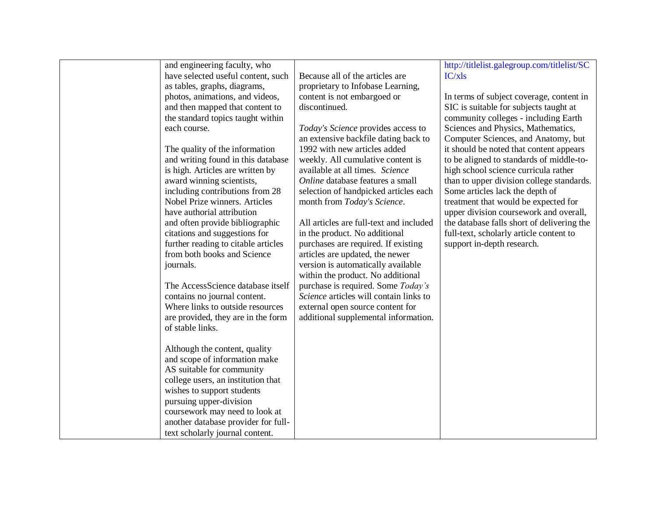| and engineering faculty, who        |                                         | http://titlelist.galegroup.com/titlelist/SC |
|-------------------------------------|-----------------------------------------|---------------------------------------------|
| have selected useful content, such  | Because all of the articles are         | IC/xls                                      |
| as tables, graphs, diagrams,        | proprietary to Infobase Learning,       |                                             |
| photos, animations, and videos,     | content is not embargoed or             | In terms of subject coverage, content in    |
| and then mapped that content to     | discontinued.                           | SIC is suitable for subjects taught at      |
| the standard topics taught within   |                                         | community colleges - including Earth        |
| each course.                        | Today's Science provides access to      | Sciences and Physics, Mathematics,          |
|                                     | an extensive backfile dating back to    | Computer Sciences, and Anatomy, but         |
| The quality of the information      | 1992 with new articles added            | it should be noted that content appears     |
| and writing found in this database  | weekly. All cumulative content is       | to be aligned to standards of middle-to-    |
| is high. Articles are written by    | available at all times. Science         | high school science curricula rather        |
| award winning scientists,           | Online database features a small        | than to upper division college standards.   |
| including contributions from 28     | selection of handpicked articles each   | Some articles lack the depth of             |
| Nobel Prize winners. Articles       | month from Today's Science.             | treatment that would be expected for        |
| have authorial attribution          |                                         | upper division coursework and overall,      |
| and often provide bibliographic     | All articles are full-text and included | the database falls short of delivering the  |
| citations and suggestions for       | in the product. No additional           | full-text, scholarly article content to     |
| further reading to citable articles | purchases are required. If existing     | support in-depth research.                  |
| from both books and Science         | articles are updated, the newer         |                                             |
| journals.                           | version is automatically available      |                                             |
|                                     | within the product. No additional       |                                             |
| The AccessScience database itself   | purchase is required. Some Today's      |                                             |
| contains no journal content.        | Science articles will contain links to  |                                             |
| Where links to outside resources    | external open source content for        |                                             |
| are provided, they are in the form  | additional supplemental information.    |                                             |
| of stable links.                    |                                         |                                             |
|                                     |                                         |                                             |
| Although the content, quality       |                                         |                                             |
| and scope of information make       |                                         |                                             |
| AS suitable for community           |                                         |                                             |
| college users, an institution that  |                                         |                                             |
| wishes to support students          |                                         |                                             |
| pursuing upper-division             |                                         |                                             |
| coursework may need to look at      |                                         |                                             |
| another database provider for full- |                                         |                                             |
| text scholarly journal content.     |                                         |                                             |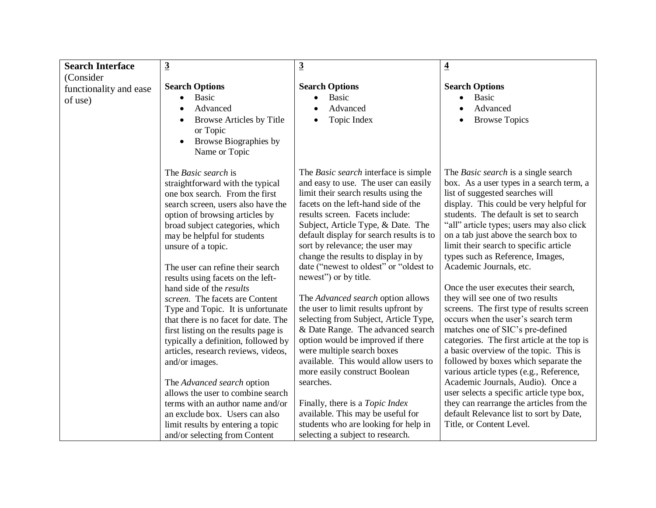| $\overline{3}$<br><b>Search Interface</b> |                                                                                                                                                                                                                                                                                                                                                                                                                                                                                                                                                                                                                                                                                                                                                                                                                                                    | $\overline{3}$                                                                                                                                                                                                                                                                                                                                                                                                                                                                                                                                                                                                                                                                                                                                                                                                                                                                                                      | $\overline{\mathbf{4}}$                                                                                                                                                                                                                                                                                                                                                                                                                                                                                                                                                                                                                                                                                                                                                                                                                                                                                                                                                                           |
|-------------------------------------------|----------------------------------------------------------------------------------------------------------------------------------------------------------------------------------------------------------------------------------------------------------------------------------------------------------------------------------------------------------------------------------------------------------------------------------------------------------------------------------------------------------------------------------------------------------------------------------------------------------------------------------------------------------------------------------------------------------------------------------------------------------------------------------------------------------------------------------------------------|---------------------------------------------------------------------------------------------------------------------------------------------------------------------------------------------------------------------------------------------------------------------------------------------------------------------------------------------------------------------------------------------------------------------------------------------------------------------------------------------------------------------------------------------------------------------------------------------------------------------------------------------------------------------------------------------------------------------------------------------------------------------------------------------------------------------------------------------------------------------------------------------------------------------|---------------------------------------------------------------------------------------------------------------------------------------------------------------------------------------------------------------------------------------------------------------------------------------------------------------------------------------------------------------------------------------------------------------------------------------------------------------------------------------------------------------------------------------------------------------------------------------------------------------------------------------------------------------------------------------------------------------------------------------------------------------------------------------------------------------------------------------------------------------------------------------------------------------------------------------------------------------------------------------------------|
| (Consider)                                |                                                                                                                                                                                                                                                                                                                                                                                                                                                                                                                                                                                                                                                                                                                                                                                                                                                    |                                                                                                                                                                                                                                                                                                                                                                                                                                                                                                                                                                                                                                                                                                                                                                                                                                                                                                                     |                                                                                                                                                                                                                                                                                                                                                                                                                                                                                                                                                                                                                                                                                                                                                                                                                                                                                                                                                                                                   |
| functionality and ease<br>of use)         | <b>Search Options</b><br>Basic<br>$\bullet$<br>Advanced<br>Browse Articles by Title<br>or Topic<br>Browse Biographies by<br>Name or Topic                                                                                                                                                                                                                                                                                                                                                                                                                                                                                                                                                                                                                                                                                                          | <b>Search Options</b><br><b>Basic</b><br>Advanced<br>$\bullet$<br>Topic Index<br>$\bullet$                                                                                                                                                                                                                                                                                                                                                                                                                                                                                                                                                                                                                                                                                                                                                                                                                          | <b>Search Options</b><br><b>Basic</b><br>Advanced<br><b>Browse Topics</b>                                                                                                                                                                                                                                                                                                                                                                                                                                                                                                                                                                                                                                                                                                                                                                                                                                                                                                                         |
|                                           | The <i>Basic search</i> is<br>straightforward with the typical<br>one box search. From the first<br>search screen, users also have the<br>option of browsing articles by<br>broad subject categories, which<br>may be helpful for students<br>unsure of a topic.<br>The user can refine their search<br>results using facets on the left-<br>hand side of the <i>results</i><br>screen. The facets are Content<br>Type and Topic. It is unfortunate<br>that there is no facet for date. The<br>first listing on the results page is<br>typically a definition, followed by<br>articles, research reviews, videos,<br>and/or images.<br>The Advanced search option<br>allows the user to combine search<br>terms with an author name and/or<br>an exclude box. Users can also<br>limit results by entering a topic<br>and/or selecting from Content | The <i>Basic search</i> interface is simple<br>and easy to use. The user can easily<br>limit their search results using the<br>facets on the left-hand side of the<br>results screen. Facets include:<br>Subject, Article Type, & Date. The<br>default display for search results is to<br>sort by relevance; the user may<br>change the results to display in by<br>date ("newest to oldest" or "oldest to<br>newest") or by title.<br>The Advanced search option allows<br>the user to limit results upfront by<br>selecting from Subject, Article Type,<br>& Date Range. The advanced search<br>option would be improved if there<br>were multiple search boxes<br>available. This would allow users to<br>more easily construct Boolean<br>searches.<br>Finally, there is a <i>Topic Index</i><br>available. This may be useful for<br>students who are looking for help in<br>selecting a subject to research. | The <i>Basic search</i> is a single search<br>box. As a user types in a search term, a<br>list of suggested searches will<br>display. This could be very helpful for<br>students. The default is set to search<br>"all" article types; users may also click<br>on a tab just above the search box to<br>limit their search to specific article<br>types such as Reference, Images,<br>Academic Journals, etc.<br>Once the user executes their search,<br>they will see one of two results<br>screens. The first type of results screen<br>occurs when the user's search term<br>matches one of SIC's pre-defined<br>categories. The first article at the top is<br>a basic overview of the topic. This is<br>followed by boxes which separate the<br>various article types (e.g., Reference,<br>Academic Journals, Audio). Once a<br>user selects a specific article type box,<br>they can rearrange the articles from the<br>default Relevance list to sort by Date,<br>Title, or Content Level. |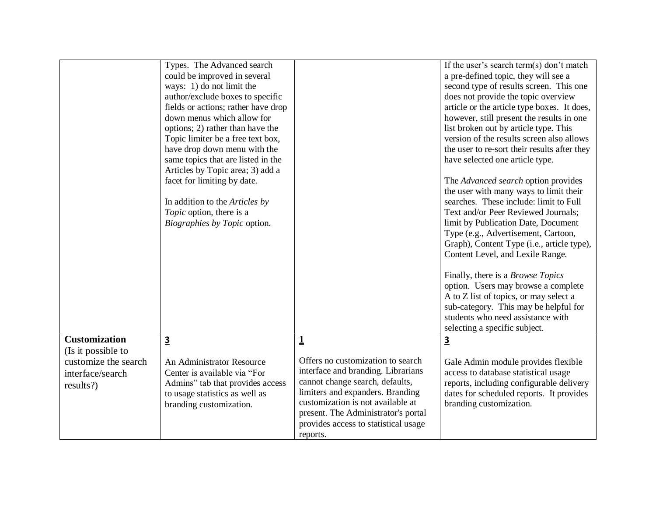|                                                                                                     | Types. The Advanced search<br>could be improved in several<br>ways: 1) do not limit the<br>author/exclude boxes to specific<br>fields or actions; rather have drop<br>down menus which allow for<br>options; 2) rather than have the<br>Topic limiter be a free text box,<br>have drop down menu with the<br>same topics that are listed in the |                                                                                                                                                                                                                                                                                                            | If the user's search term(s) don't match<br>a pre-defined topic, they will see a<br>second type of results screen. This one<br>does not provide the topic overview<br>article or the article type boxes. It does,<br>however, still present the results in one<br>list broken out by article type. This<br>version of the results screen also allows<br>the user to re-sort their results after they<br>have selected one article type. |
|-----------------------------------------------------------------------------------------------------|-------------------------------------------------------------------------------------------------------------------------------------------------------------------------------------------------------------------------------------------------------------------------------------------------------------------------------------------------|------------------------------------------------------------------------------------------------------------------------------------------------------------------------------------------------------------------------------------------------------------------------------------------------------------|-----------------------------------------------------------------------------------------------------------------------------------------------------------------------------------------------------------------------------------------------------------------------------------------------------------------------------------------------------------------------------------------------------------------------------------------|
|                                                                                                     | Articles by Topic area; 3) add a<br>facet for limiting by date.<br>In addition to the Articles by<br>Topic option, there is a<br>Biographies by Topic option.                                                                                                                                                                                   |                                                                                                                                                                                                                                                                                                            | The Advanced search option provides<br>the user with many ways to limit their<br>searches. These include: limit to Full<br>Text and/or Peer Reviewed Journals;<br>limit by Publication Date, Document<br>Type (e.g., Advertisement, Cartoon,<br>Graph), Content Type (i.e., article type),<br>Content Level, and Lexile Range.<br>Finally, there is a <i>Browse Topics</i>                                                              |
|                                                                                                     |                                                                                                                                                                                                                                                                                                                                                 |                                                                                                                                                                                                                                                                                                            | option. Users may browse a complete<br>A to Z list of topics, or may select a<br>sub-category. This may be helpful for<br>students who need assistance with<br>selecting a specific subject.                                                                                                                                                                                                                                            |
| <b>Customization</b><br>(Is it possible to<br>customize the search<br>interface/search<br>results?) | $\overline{\mathbf{3}}$<br>An Administrator Resource<br>Center is available via "For<br>Admins" tab that provides access<br>to usage statistics as well as<br>branding customization.                                                                                                                                                           | $\mathbf{\underline{1}}$<br>Offers no customization to search<br>interface and branding. Librarians<br>cannot change search, defaults,<br>limiters and expanders. Branding<br>customization is not available at<br>present. The Administrator's portal<br>provides access to statistical usage<br>reports. | $\overline{3}$<br>Gale Admin module provides flexible<br>access to database statistical usage<br>reports, including configurable delivery<br>dates for scheduled reports. It provides<br>branding customization.                                                                                                                                                                                                                        |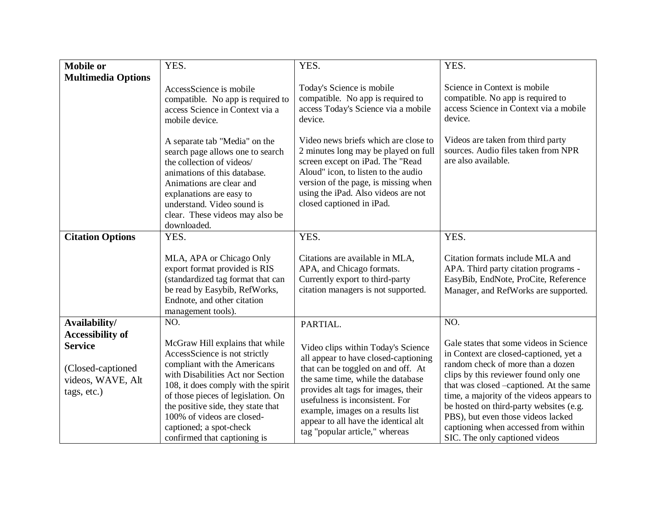| <b>Mobile or</b>                                                        | YES.                                                                                                                                                                                                                                                                                                                                              | YES.                                                                                                                                                                                                                                                                                                                                           | YES.                                                                                                                                                                                                                                                                                                                                                                                                               |
|-------------------------------------------------------------------------|---------------------------------------------------------------------------------------------------------------------------------------------------------------------------------------------------------------------------------------------------------------------------------------------------------------------------------------------------|------------------------------------------------------------------------------------------------------------------------------------------------------------------------------------------------------------------------------------------------------------------------------------------------------------------------------------------------|--------------------------------------------------------------------------------------------------------------------------------------------------------------------------------------------------------------------------------------------------------------------------------------------------------------------------------------------------------------------------------------------------------------------|
| <b>Multimedia Options</b>                                               |                                                                                                                                                                                                                                                                                                                                                   |                                                                                                                                                                                                                                                                                                                                                |                                                                                                                                                                                                                                                                                                                                                                                                                    |
|                                                                         | AccessScience is mobile<br>compatible. No app is required to<br>access Science in Context via a<br>mobile device.                                                                                                                                                                                                                                 | Today's Science is mobile<br>compatible. No app is required to<br>access Today's Science via a mobile<br>device.                                                                                                                                                                                                                               | Science in Context is mobile<br>compatible. No app is required to<br>access Science in Context via a mobile<br>device.                                                                                                                                                                                                                                                                                             |
|                                                                         | A separate tab "Media" on the<br>search page allows one to search<br>the collection of videos/<br>animations of this database.<br>Animations are clear and<br>explanations are easy to<br>understand. Video sound is<br>clear. These videos may also be<br>downloaded.                                                                            | Video news briefs which are close to<br>2 minutes long may be played on full<br>screen except on iPad. The "Read<br>Aloud" icon, to listen to the audio<br>version of the page, is missing when<br>using the iPad. Also videos are not<br>closed captioned in iPad.                                                                            | Videos are taken from third party<br>sources. Audio files taken from NPR<br>are also available.                                                                                                                                                                                                                                                                                                                    |
| <b>Citation Options</b>                                                 | YES.                                                                                                                                                                                                                                                                                                                                              | YES.                                                                                                                                                                                                                                                                                                                                           | YES.                                                                                                                                                                                                                                                                                                                                                                                                               |
|                                                                         | MLA, APA or Chicago Only<br>export format provided is RIS<br>(standardized tag format that can<br>be read by Easybib, RefWorks,<br>Endnote, and other citation<br>management tools).                                                                                                                                                              | Citations are available in MLA,<br>APA, and Chicago formats.<br>Currently export to third-party<br>citation managers is not supported.                                                                                                                                                                                                         | Citation formats include MLA and<br>APA. Third party citation programs -<br>EasyBib, EndNote, ProCite, Reference<br>Manager, and RefWorks are supported.                                                                                                                                                                                                                                                           |
| Availability/                                                           | NO.                                                                                                                                                                                                                                                                                                                                               | PARTIAL.                                                                                                                                                                                                                                                                                                                                       | NO.                                                                                                                                                                                                                                                                                                                                                                                                                |
| <b>Accessibility of</b>                                                 |                                                                                                                                                                                                                                                                                                                                                   |                                                                                                                                                                                                                                                                                                                                                |                                                                                                                                                                                                                                                                                                                                                                                                                    |
| <b>Service</b><br>(Closed-captioned<br>videos, WAVE, Alt<br>tags, etc.) | McGraw Hill explains that while<br>AccessScience is not strictly<br>compliant with the Americans<br>with Disabilities Act nor Section<br>108, it does comply with the spirit<br>of those pieces of legislation. On<br>the positive side, they state that<br>100% of videos are closed-<br>captioned; a spot-check<br>confirmed that captioning is | Video clips within Today's Science<br>all appear to have closed-captioning<br>that can be toggled on and off. At<br>the same time, while the database<br>provides alt tags for images, their<br>usefulness is inconsistent. For<br>example, images on a results list<br>appear to all have the identical alt<br>tag "popular article," whereas | Gale states that some videos in Science<br>in Context are closed-captioned, yet a<br>random check of more than a dozen<br>clips by this reviewer found only one<br>that was closed -captioned. At the same<br>time, a majority of the videos appears to<br>be hosted on third-party websites (e.g.<br>PBS), but even those videos lacked<br>captioning when accessed from within<br>SIC. The only captioned videos |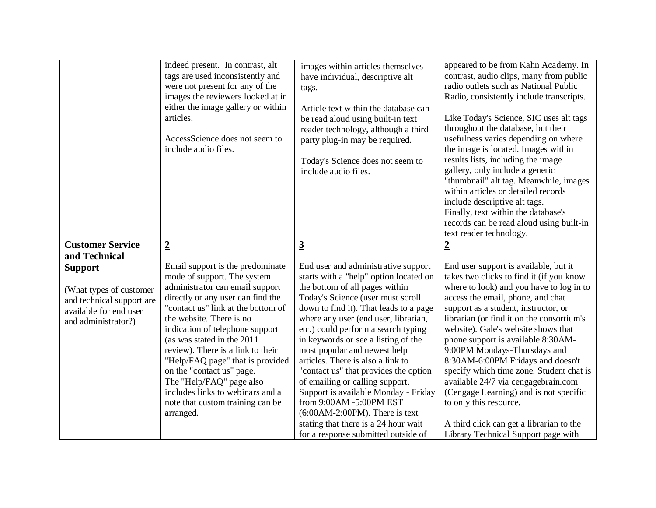|                                                                                                                                          | indeed present. In contrast, alt<br>tags are used inconsistently and<br>were not present for any of the<br>images the reviewers looked at in<br>either the image gallery or within<br>articles.<br>AccessScience does not seem to<br>include audio files.                                                                                                                                                                                                                                         | images within articles themselves<br>have individual, descriptive alt<br>tags.<br>Article text within the database can<br>be read aloud using built-in text<br>reader technology, although a third<br>party plug-in may be required.<br>Today's Science does not seem to<br>include audio files.                                                                                                                                                                                                                                                                                                                                                             | appeared to be from Kahn Academy. In<br>contrast, audio clips, many from public<br>radio outlets such as National Public<br>Radio, consistently include transcripts.<br>Like Today's Science, SIC uses alt tags<br>throughout the database, but their<br>usefulness varies depending on where<br>the image is located. Images within<br>results lists, including the image<br>gallery, only include a generic<br>"thumbnail" alt tag. Meanwhile, images<br>within articles or detailed records<br>include descriptive alt tags.<br>Finally, text within the database's<br>records can be read aloud using built-in<br>text reader technology.       |
|------------------------------------------------------------------------------------------------------------------------------------------|---------------------------------------------------------------------------------------------------------------------------------------------------------------------------------------------------------------------------------------------------------------------------------------------------------------------------------------------------------------------------------------------------------------------------------------------------------------------------------------------------|--------------------------------------------------------------------------------------------------------------------------------------------------------------------------------------------------------------------------------------------------------------------------------------------------------------------------------------------------------------------------------------------------------------------------------------------------------------------------------------------------------------------------------------------------------------------------------------------------------------------------------------------------------------|-----------------------------------------------------------------------------------------------------------------------------------------------------------------------------------------------------------------------------------------------------------------------------------------------------------------------------------------------------------------------------------------------------------------------------------------------------------------------------------------------------------------------------------------------------------------------------------------------------------------------------------------------------|
| <b>Customer Service</b>                                                                                                                  | $\overline{2}$                                                                                                                                                                                                                                                                                                                                                                                                                                                                                    | $\overline{3}$                                                                                                                                                                                                                                                                                                                                                                                                                                                                                                                                                                                                                                               | $\overline{2}$                                                                                                                                                                                                                                                                                                                                                                                                                                                                                                                                                                                                                                      |
| and Technical<br><b>Support</b><br>(What types of customer<br>and technical support are<br>available for end user<br>and administrator?) | Email support is the predominate<br>mode of support. The system<br>administrator can email support<br>directly or any user can find the<br>"contact us" link at the bottom of<br>the website. There is no<br>indication of telephone support<br>(as was stated in the 2011<br>review). There is a link to their<br>"Help/FAQ page" that is provided<br>on the "contact us" page.<br>The "Help/FAQ" page also<br>includes links to webinars and a<br>note that custom training can be<br>arranged. | End user and administrative support<br>starts with a "help" option located on<br>the bottom of all pages within<br>Today's Science (user must scroll<br>down to find it). That leads to a page<br>where any user (end user, librarian,<br>etc.) could perform a search typing<br>in keywords or see a listing of the<br>most popular and newest help<br>articles. There is also a link to<br>"contact us" that provides the option<br>of emailing or calling support.<br>Support is available Monday - Friday<br>from 9:00AM -5:00PM EST<br>$(6:00AM-2:00PM)$ . There is text<br>stating that there is a 24 hour wait<br>for a response submitted outside of | End user support is available, but it<br>takes two clicks to find it (if you know<br>where to look) and you have to log in to<br>access the email, phone, and chat<br>support as a student, instructor, or<br>librarian (or find it on the consortium's<br>website). Gale's website shows that<br>phone support is available 8:30AM-<br>9:00PM Mondays-Thursdays and<br>8:30AM-6:00PM Fridays and doesn't<br>specify which time zone. Student chat is<br>available 24/7 via cengagebrain.com<br>(Cengage Learning) and is not specific<br>to only this resource.<br>A third click can get a librarian to the<br>Library Technical Support page with |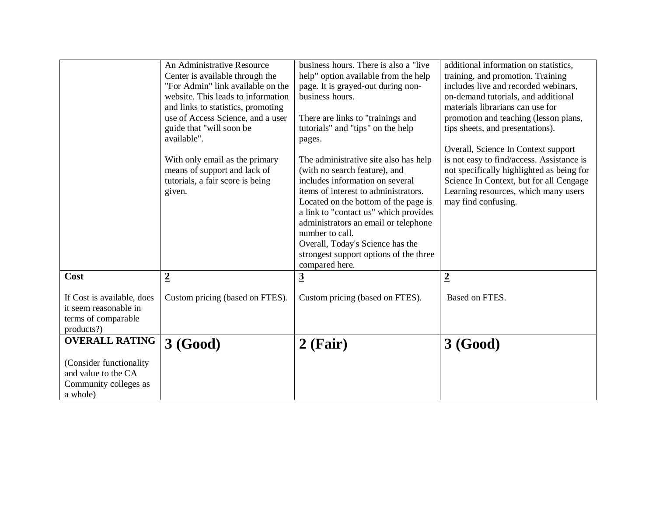|                                                                                          | An Administrative Resource<br>Center is available through the<br>"For Admin" link available on the<br>website. This leads to information<br>and links to statistics, promoting<br>use of Access Science, and a user<br>guide that "will soon be<br>available".<br>With only email as the primary<br>means of support and lack of<br>tutorials, a fair score is being<br>given. | business hours. There is also a "live"<br>help" option available from the help<br>page. It is grayed-out during non-<br>business hours.<br>There are links to "trainings and<br>tutorials" and "tips" on the help<br>pages.<br>The administrative site also has help<br>(with no search feature), and<br>includes information on several<br>items of interest to administrators.<br>Located on the bottom of the page is<br>a link to "contact us" which provides<br>administrators an email or telephone<br>number to call.<br>Overall, Today's Science has the<br>strongest support options of the three | additional information on statistics,<br>training, and promotion. Training<br>includes live and recorded webinars,<br>on-demand tutorials, and additional<br>materials librarians can use for<br>promotion and teaching (lesson plans,<br>tips sheets, and presentations).<br>Overall, Science In Context support<br>is not easy to find/access. Assistance is<br>not specifically highlighted as being for<br>Science In Context, but for all Cengage<br>Learning resources, which many users<br>may find confusing. |
|------------------------------------------------------------------------------------------|--------------------------------------------------------------------------------------------------------------------------------------------------------------------------------------------------------------------------------------------------------------------------------------------------------------------------------------------------------------------------------|------------------------------------------------------------------------------------------------------------------------------------------------------------------------------------------------------------------------------------------------------------------------------------------------------------------------------------------------------------------------------------------------------------------------------------------------------------------------------------------------------------------------------------------------------------------------------------------------------------|-----------------------------------------------------------------------------------------------------------------------------------------------------------------------------------------------------------------------------------------------------------------------------------------------------------------------------------------------------------------------------------------------------------------------------------------------------------------------------------------------------------------------|
|                                                                                          |                                                                                                                                                                                                                                                                                                                                                                                | compared here.                                                                                                                                                                                                                                                                                                                                                                                                                                                                                                                                                                                             |                                                                                                                                                                                                                                                                                                                                                                                                                                                                                                                       |
| Cost                                                                                     | $\overline{2}$                                                                                                                                                                                                                                                                                                                                                                 | $\overline{3}$                                                                                                                                                                                                                                                                                                                                                                                                                                                                                                                                                                                             | $\overline{2}$                                                                                                                                                                                                                                                                                                                                                                                                                                                                                                        |
| If Cost is available, does<br>it seem reasonable in<br>terms of comparable<br>products?) | Custom pricing (based on FTES).                                                                                                                                                                                                                                                                                                                                                | Custom pricing (based on FTES).                                                                                                                                                                                                                                                                                                                                                                                                                                                                                                                                                                            | Based on FTES.                                                                                                                                                                                                                                                                                                                                                                                                                                                                                                        |
| <b>OVERALL RATING</b>                                                                    | 3 (Good)                                                                                                                                                                                                                                                                                                                                                                       | $2$ (Fair)                                                                                                                                                                                                                                                                                                                                                                                                                                                                                                                                                                                                 | 3(Good)                                                                                                                                                                                                                                                                                                                                                                                                                                                                                                               |
| (Consider functionality)                                                                 |                                                                                                                                                                                                                                                                                                                                                                                |                                                                                                                                                                                                                                                                                                                                                                                                                                                                                                                                                                                                            |                                                                                                                                                                                                                                                                                                                                                                                                                                                                                                                       |
| and value to the CA                                                                      |                                                                                                                                                                                                                                                                                                                                                                                |                                                                                                                                                                                                                                                                                                                                                                                                                                                                                                                                                                                                            |                                                                                                                                                                                                                                                                                                                                                                                                                                                                                                                       |
| Community colleges as                                                                    |                                                                                                                                                                                                                                                                                                                                                                                |                                                                                                                                                                                                                                                                                                                                                                                                                                                                                                                                                                                                            |                                                                                                                                                                                                                                                                                                                                                                                                                                                                                                                       |
| a whole)                                                                                 |                                                                                                                                                                                                                                                                                                                                                                                |                                                                                                                                                                                                                                                                                                                                                                                                                                                                                                                                                                                                            |                                                                                                                                                                                                                                                                                                                                                                                                                                                                                                                       |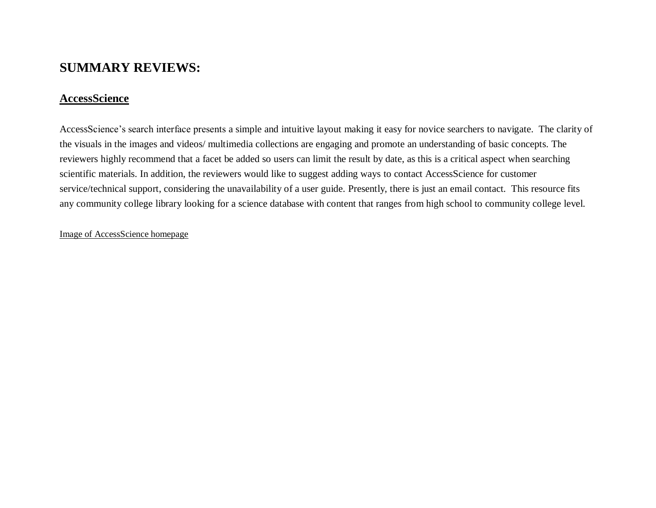# **SUMMARY REVIEWS:**

## **AccessScience**

AccessScience's search interface presents a simple and intuitive layout making it easy for novice searchers to navigate. The clarity of the visuals in the images and videos/ multimedia collections are engaging and promote an understanding of basic concepts. The reviewers highly recommend that a facet be added so users can limit the result by date, as this is a critical aspect when searching scientific materials. In addition, the reviewers would like to suggest adding ways to contact AccessScience for customer service/technical support, considering the unavailability of a user guide. Presently, there is just an email contact. This resource fits any community college library looking for a science database with content that ranges from high school to community college level.

## Image of AccessScience homepage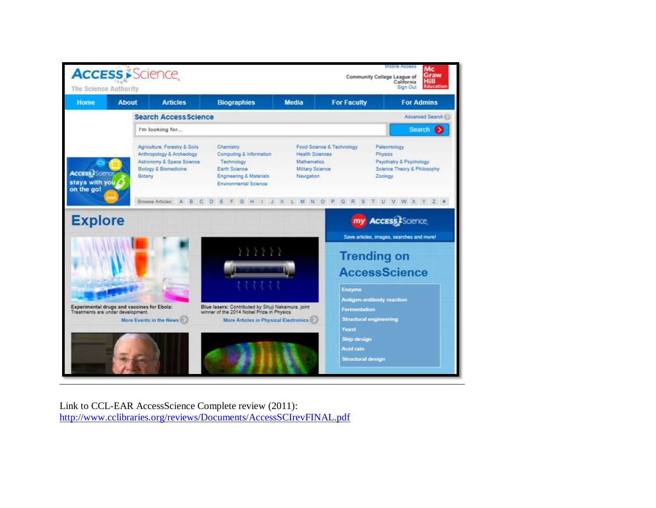

Link to CCL-EAR AccessScience Complete review (2011): <http://www.cclibraries.org/reviews/Documents/AccessSCIrevFINAL.pdf>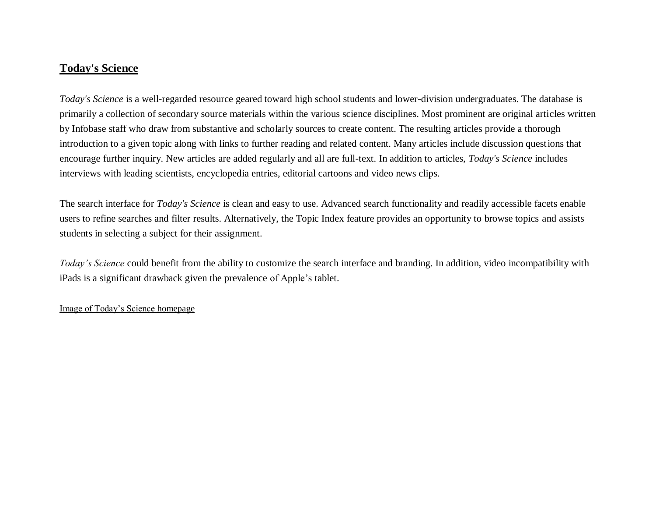## **Today's Science**

*Today's Science* is a well-regarded resource geared toward high school students and lower-division undergraduates. The database is primarily a collection of secondary source materials within the various science disciplines. Most prominent are original articles written by Infobase staff who draw from substantive and scholarly sources to create content. The resulting articles provide a thorough introduction to a given topic along with links to further reading and related content. Many articles include discussion questions that encourage further inquiry. New articles are added regularly and all are full-text. In addition to articles, *Today's Science* includes interviews with leading scientists, encyclopedia entries, editorial cartoons and video news clips.

The search interface for *Today's Science* is clean and easy to use. Advanced search functionality and readily accessible facets enable users to refine searches and filter results. Alternatively, the Topic Index feature provides an opportunity to browse topics and assists students in selecting a subject for their assignment.

*Today's Science* could benefit from the ability to customize the search interface and branding. In addition, video incompatibility with iPads is a significant drawback given the prevalence of Apple's tablet.

#### Image of Today's Science homepage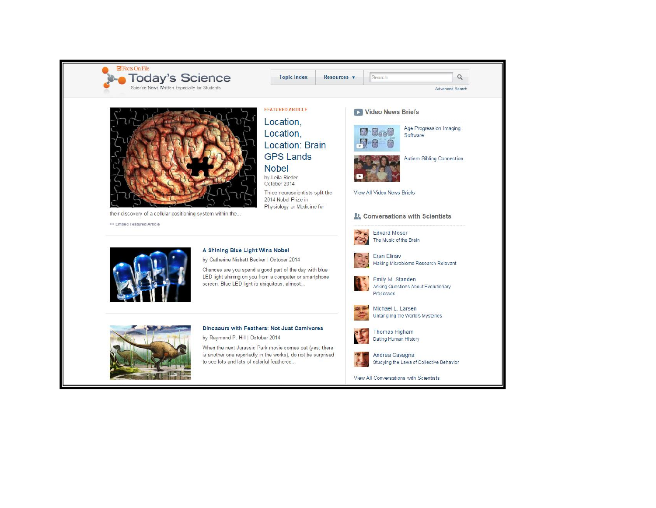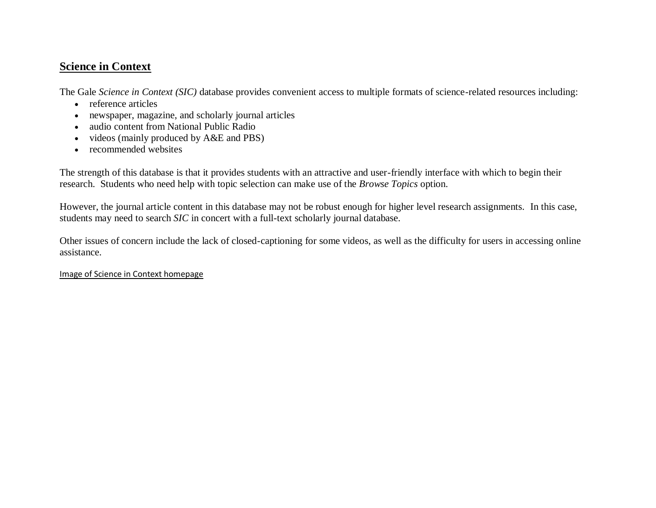# **Science in Context**

The Gale *Science in Context (SIC)* database provides convenient access to multiple formats of science-related resources including:

- reference articles
- newspaper, magazine, and scholarly journal articles
- audio content from National Public Radio
- videos (mainly produced by A&E and PBS)
- recommended websites

The strength of this database is that it provides students with an attractive and user-friendly interface with which to begin their research. Students who need help with topic selection can make use of the *Browse Topics* option.

However, the journal article content in this database may not be robust enough for higher level research assignments. In this case, students may need to search *SIC* in concert with a full-text scholarly journal database.

Other issues of concern include the lack of closed-captioning for some videos, as well as the difficulty for users in accessing online assistance.

### Image of Science in Context homepage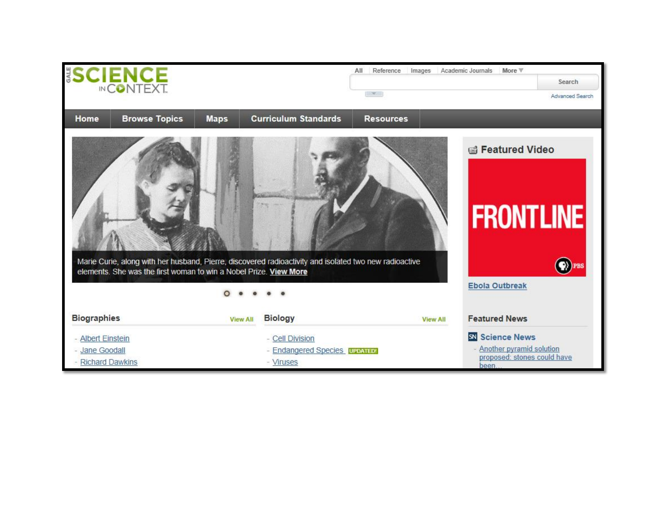